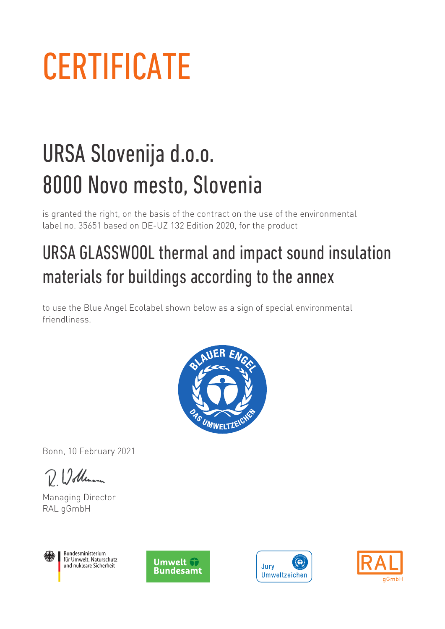## **CERTIFICATE**

## URSA Slovenija d.o.o. 8000 Novo mesto, Slovenia

is granted the right, on the basis of the contract on the use of the environmental label no. 35651 based on DE-UZ 132 Edition 2020, for the product

## URSA GLASSWOOL thermal and impact sound insulation materials for buildings according to the annex

to use the Blue Angel Ecolabel shown below as a sign of special environmental friendliness.



Bonn, 10 February 2021

D 12 dleman

Managing Director RAL gGmbH



Bundesministerium für Umwelt, Naturschutz und nukleare Sicherheit





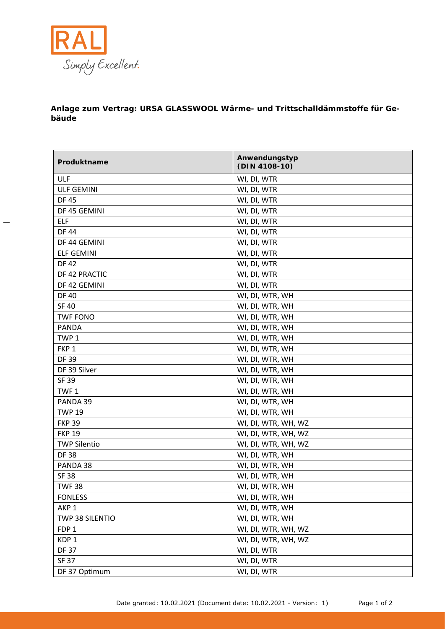

**Anlage zum Vertrag: URSA GLASSWOOL Wärme- und Trittschalldämmstoffe für Gebäude**

| Produktname         | Anwendungstyp<br>(DIN 4108-10) |
|---------------------|--------------------------------|
| ULF                 | WI, DI, WTR                    |
| <b>ULF GEMINI</b>   | WI, DI, WTR                    |
| <b>DF45</b>         | WI, DI, WTR                    |
| DF 45 GEMINI        | WI, DI, WTR                    |
| <b>ELF</b>          | WI, DI, WTR                    |
| <b>DF44</b>         | WI, DI, WTR                    |
| DF 44 GEMINI        | WI, DI, WTR                    |
| <b>ELF GEMINI</b>   | WI, DI, WTR                    |
| <b>DF42</b>         | WI, DI, WTR                    |
| DF 42 PRACTIC       | WI, DI, WTR                    |
| DF 42 GEMINI        | WI, DI, WTR                    |
| <b>DF40</b>         | WI, DI, WTR, WH                |
| <b>SF 40</b>        | WI, DI, WTR, WH                |
| <b>TWF FONO</b>     | WI, DI, WTR, WH                |
| <b>PANDA</b>        | WI, DI, WTR, WH                |
| TWP <sub>1</sub>    | WI, DI, WTR, WH                |
| FKP <sub>1</sub>    | WI, DI, WTR, WH                |
| <b>DF 39</b>        | WI, DI, WTR, WH                |
| DF 39 Silver        | WI, DI, WTR, WH                |
| SF 39               | WI, DI, WTR, WH                |
| TWF <sub>1</sub>    | WI, DI, WTR, WH                |
| PANDA 39            | WI, DI, WTR, WH                |
| <b>TWP 19</b>       | WI, DI, WTR, WH                |
| <b>FKP 39</b>       | WI, DI, WTR, WH, WZ            |
| <b>FKP 19</b>       | WI, DI, WTR, WH, WZ            |
| <b>TWP Silentio</b> | WI, DI, WTR, WH, WZ            |
| <b>DF38</b>         | WI, DI, WTR, WH                |
| PANDA 38            | WI, DI, WTR, WH                |
| <b>SF 38</b>        | WI, DI, WTR, WH                |
| <b>TWF38</b>        | WI, DI, WTR, WH                |
| <b>FONLESS</b>      | WI, DI, WTR, WH                |
| AKP <sub>1</sub>    | WI, DI, WTR, WH                |
| TWP 38 SILENTIO     | WI, DI, WTR, WH                |
| FDP <sub>1</sub>    | WI, DI, WTR, WH, WZ            |
| KDP <sub>1</sub>    | WI, DI, WTR, WH, WZ            |
| <b>DF37</b>         | WI, DI, WTR                    |
| SF 37               | WI, DI, WTR                    |
| DF 37 Optimum       | WI, DI, WTR                    |

Date granted: 10.02.2021 (Document date: 10.02.2021 - Version: 1) Page 1 of 2